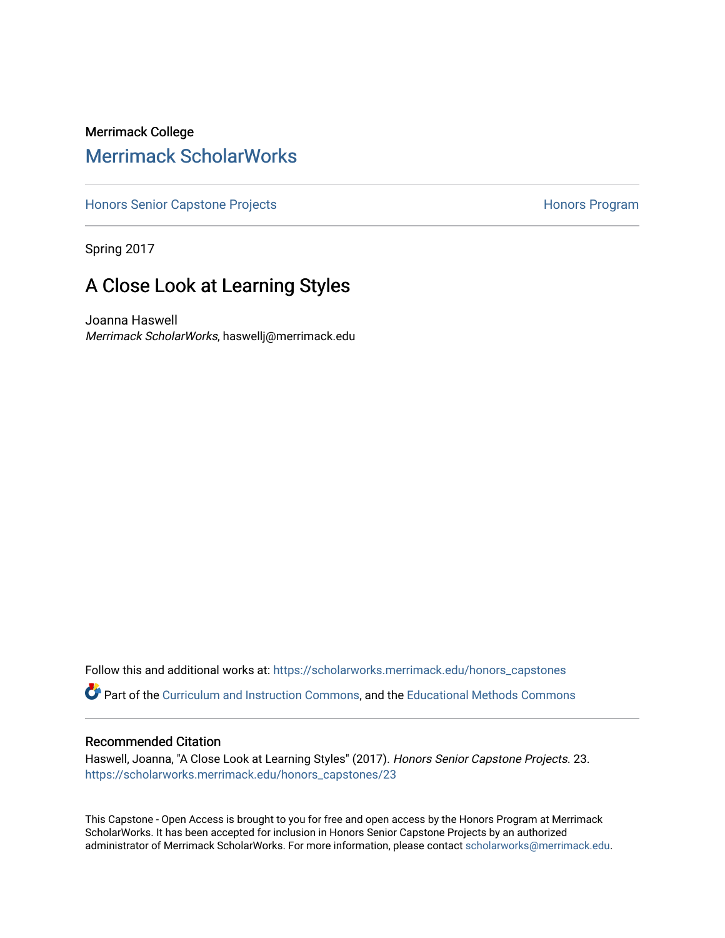### Merrimack College [Merrimack ScholarWorks](https://scholarworks.merrimack.edu/)

[Honors Senior Capstone Projects](https://scholarworks.merrimack.edu/honors_capstones) **Honors Program** Honors Program

Spring 2017

## A Close Look at Learning Styles

Joanna Haswell Merrimack ScholarWorks, haswellj@merrimack.edu

Follow this and additional works at: [https://scholarworks.merrimack.edu/honors\\_capstones](https://scholarworks.merrimack.edu/honors_capstones?utm_source=scholarworks.merrimack.edu%2Fhonors_capstones%2F23&utm_medium=PDF&utm_campaign=PDFCoverPages)

Part of the [Curriculum and Instruction Commons,](http://network.bepress.com/hgg/discipline/786?utm_source=scholarworks.merrimack.edu%2Fhonors_capstones%2F23&utm_medium=PDF&utm_campaign=PDFCoverPages) and the [Educational Methods Commons](http://network.bepress.com/hgg/discipline/1227?utm_source=scholarworks.merrimack.edu%2Fhonors_capstones%2F23&utm_medium=PDF&utm_campaign=PDFCoverPages)

#### Recommended Citation

Haswell, Joanna, "A Close Look at Learning Styles" (2017). Honors Senior Capstone Projects. 23. [https://scholarworks.merrimack.edu/honors\\_capstones/23](https://scholarworks.merrimack.edu/honors_capstones/23?utm_source=scholarworks.merrimack.edu%2Fhonors_capstones%2F23&utm_medium=PDF&utm_campaign=PDFCoverPages) 

This Capstone - Open Access is brought to you for free and open access by the Honors Program at Merrimack ScholarWorks. It has been accepted for inclusion in Honors Senior Capstone Projects by an authorized administrator of Merrimack ScholarWorks. For more information, please contact [scholarworks@merrimack.edu](mailto:scholarworks@merrimack.edu).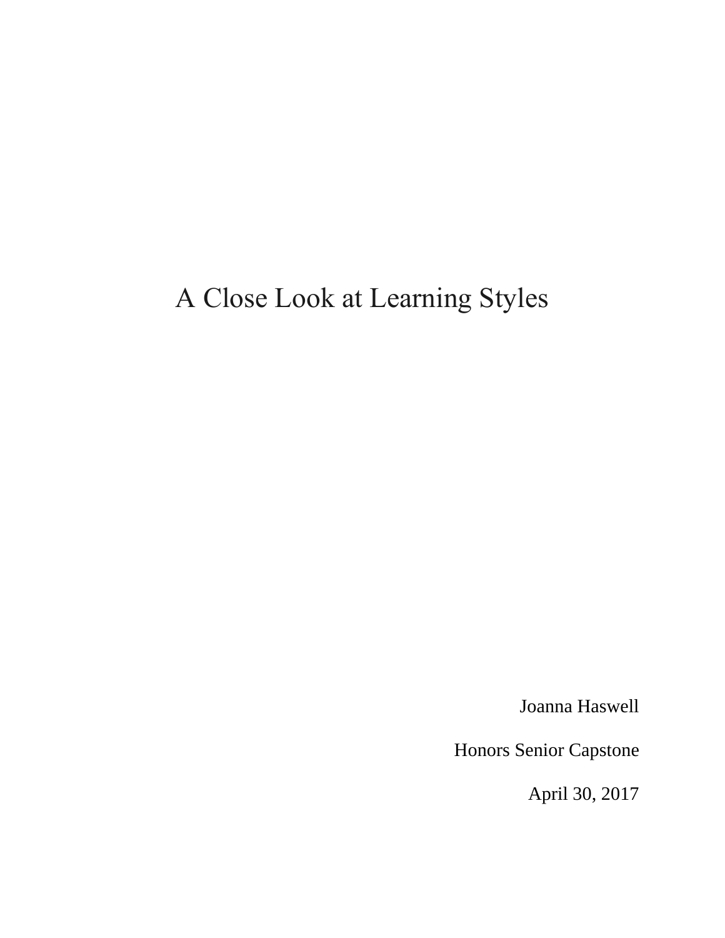# A Close Look at Learning Styles

Joanna Haswell

Honors Senior Capstone

April 30, 2017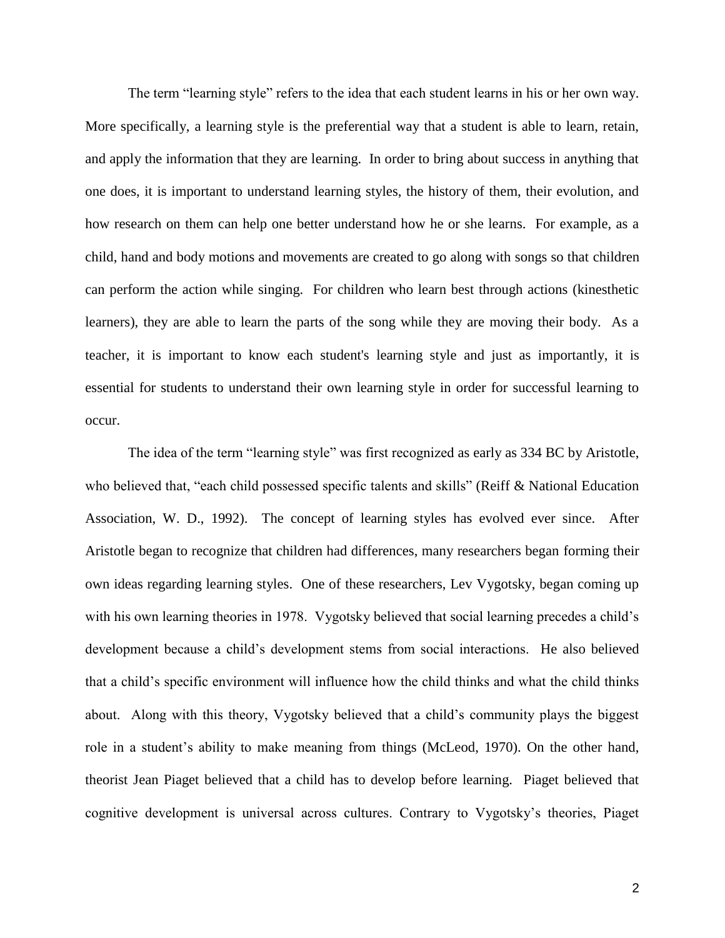The term "learning style" refers to the idea that each student learns in his or her own way. More specifically, a learning style is the preferential way that a student is able to learn, retain, and apply the information that they are learning. In order to bring about success in anything that one does, it is important to understand learning styles, the history of them, their evolution, and how research on them can help one better understand how he or she learns. For example, as a child, hand and body motions and movements are created to go along with songs so that children can perform the action while singing. For children who learn best through actions (kinesthetic learners), they are able to learn the parts of the song while they are moving their body. As a teacher, it is important to know each student's learning style and just as importantly, it is essential for students to understand their own learning style in order for successful learning to occur.

The idea of the term "learning style" was first recognized as early as 334 BC by Aristotle, who believed that, "each child possessed specific talents and skills" (Reiff & National Education Association, W. D., 1992). The concept of learning styles has evolved ever since. After Aristotle began to recognize that children had differences, many researchers began forming their own ideas regarding learning styles. One of these researchers, Lev Vygotsky, began coming up with his own learning theories in 1978. Vygotsky believed that social learning precedes a child's development because a child's development stems from social interactions. He also believed that a child's specific environment will influence how the child thinks and what the child thinks about. Along with this theory, Vygotsky believed that a child's community plays the biggest role in a student's ability to make meaning from things (McLeod, 1970). On the other hand, theorist Jean Piaget believed that a child has to develop before learning. Piaget believed that cognitive development is universal across cultures. Contrary to Vygotsky's theories, Piaget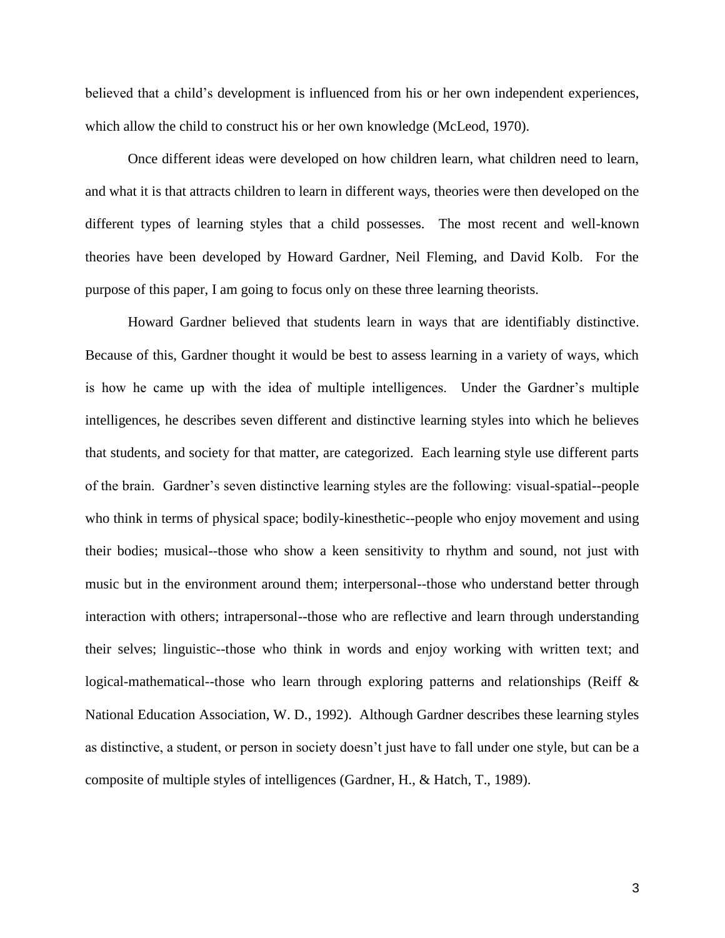believed that a child's development is influenced from his or her own independent experiences, which allow the child to construct his or her own knowledge (McLeod, 1970).

Once different ideas were developed on how children learn, what children need to learn, and what it is that attracts children to learn in different ways, theories were then developed on the different types of learning styles that a child possesses. The most recent and well-known theories have been developed by Howard Gardner, Neil Fleming, and David Kolb. For the purpose of this paper, I am going to focus only on these three learning theorists.

Howard Gardner believed that students learn in ways that are identifiably distinctive. Because of this, Gardner thought it would be best to assess learning in a variety of ways, which is how he came up with the idea of multiple intelligences. Under the Gardner's multiple intelligences, he describes seven different and distinctive learning styles into which he believes that students, and society for that matter, are categorized. Each learning style use different parts of the brain. Gardner's seven distinctive learning styles are the following: visual-spatial--people who think in terms of physical space; bodily-kinesthetic--people who enjoy movement and using their bodies; musical--those who show a keen sensitivity to rhythm and sound, not just with music but in the environment around them; interpersonal--those who understand better through interaction with others; intrapersonal--those who are reflective and learn through understanding their selves; linguistic--those who think in words and enjoy working with written text; and logical-mathematical--those who learn through exploring patterns and relationships (Reiff & National Education Association, W. D., 1992). Although Gardner describes these learning styles as distinctive, a student, or person in society doesn't just have to fall under one style, but can be a composite of multiple styles of intelligences (Gardner, H., & Hatch, T., 1989).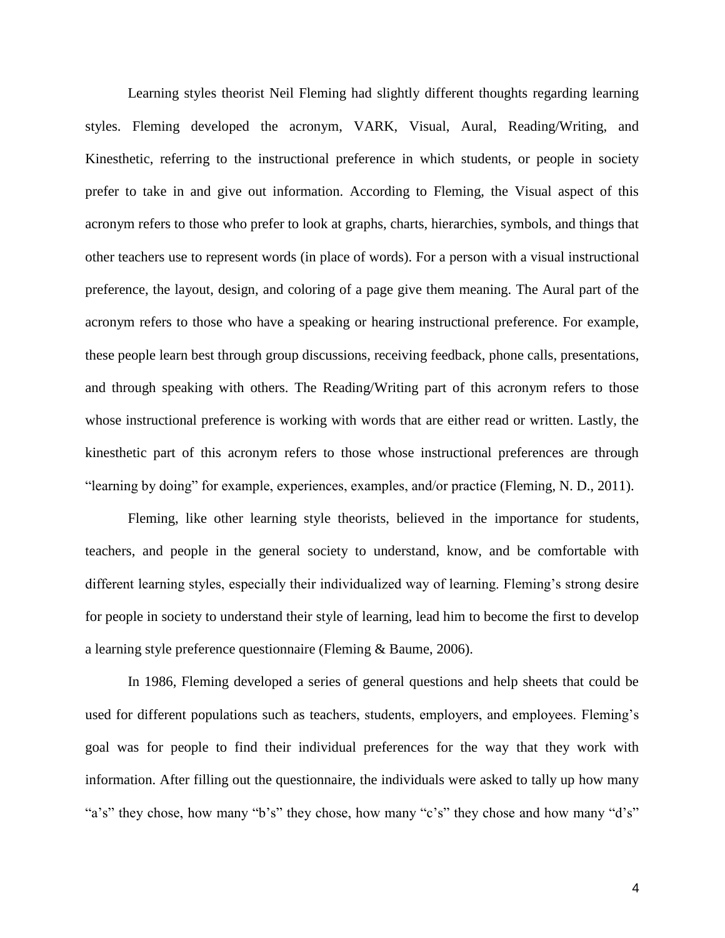Learning styles theorist Neil Fleming had slightly different thoughts regarding learning styles. Fleming developed the acronym, VARK, Visual, Aural, Reading/Writing, and Kinesthetic, referring to the instructional preference in which students, or people in society prefer to take in and give out information. According to Fleming, the Visual aspect of this acronym refers to those who prefer to look at graphs, charts, hierarchies, symbols, and things that other teachers use to represent words (in place of words). For a person with a visual instructional preference, the layout, design, and coloring of a page give them meaning. The Aural part of the acronym refers to those who have a speaking or hearing instructional preference. For example, these people learn best through group discussions, receiving feedback, phone calls, presentations, and through speaking with others. The Reading/Writing part of this acronym refers to those whose instructional preference is working with words that are either read or written. Lastly, the kinesthetic part of this acronym refers to those whose instructional preferences are through "learning by doing" for example, experiences, examples, and/or practice (Fleming, N. D., 2011).

Fleming, like other learning style theorists, believed in the importance for students, teachers, and people in the general society to understand, know, and be comfortable with different learning styles, especially their individualized way of learning. Fleming's strong desire for people in society to understand their style of learning, lead him to become the first to develop a learning style preference questionnaire (Fleming & Baume, 2006).

In 1986, Fleming developed a series of general questions and help sheets that could be used for different populations such as teachers, students, employers, and employees. Fleming's goal was for people to find their individual preferences for the way that they work with information. After filling out the questionnaire, the individuals were asked to tally up how many "a's" they chose, how many "b's" they chose, how many "c's" they chose and how many "d's"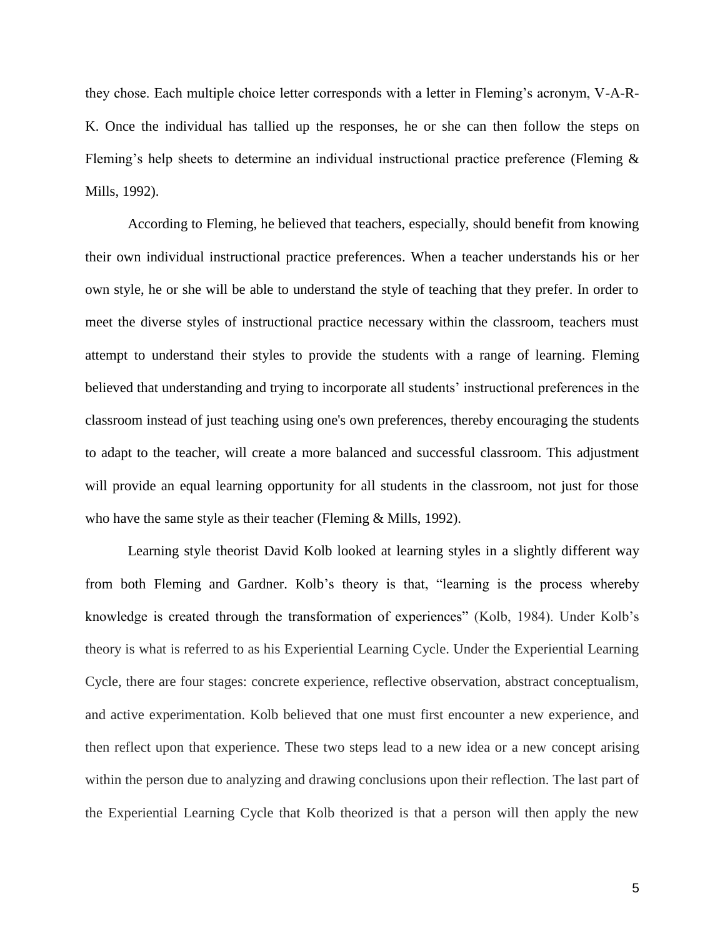they chose. Each multiple choice letter corresponds with a letter in Fleming's acronym, V-A-R-K. Once the individual has tallied up the responses, he or she can then follow the steps on Fleming's help sheets to determine an individual instructional practice preference (Fleming & Mills, 1992).

According to Fleming, he believed that teachers, especially, should benefit from knowing their own individual instructional practice preferences. When a teacher understands his or her own style, he or she will be able to understand the style of teaching that they prefer. In order to meet the diverse styles of instructional practice necessary within the classroom, teachers must attempt to understand their styles to provide the students with a range of learning. Fleming believed that understanding and trying to incorporate all students' instructional preferences in the classroom instead of just teaching using one's own preferences, thereby encouraging the students to adapt to the teacher, will create a more balanced and successful classroom. This adjustment will provide an equal learning opportunity for all students in the classroom, not just for those who have the same style as their teacher (Fleming & Mills, 1992).

Learning style theorist David Kolb looked at learning styles in a slightly different way from both Fleming and Gardner. Kolb's theory is that, "learning is the process whereby knowledge is created through the transformation of experiences" (Kolb, 1984). Under Kolb's theory is what is referred to as his Experiential Learning Cycle. Under the Experiential Learning Cycle, there are four stages: concrete experience, reflective observation, abstract conceptualism, and active experimentation. Kolb believed that one must first encounter a new experience, and then reflect upon that experience. These two steps lead to a new idea or a new concept arising within the person due to analyzing and drawing conclusions upon their reflection. The last part of the Experiential Learning Cycle that Kolb theorized is that a person will then apply the new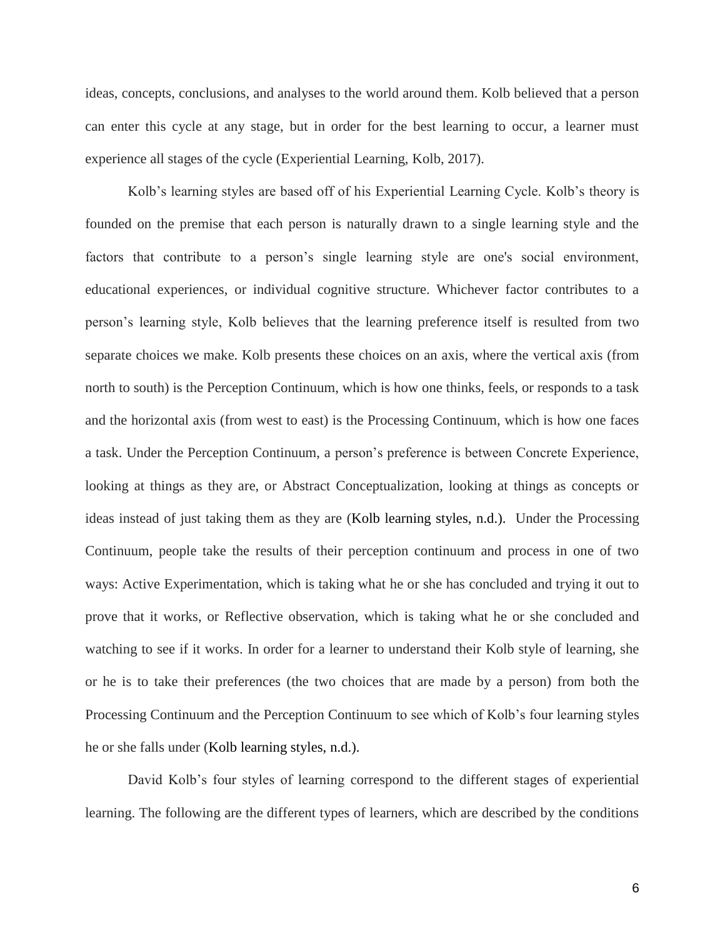ideas, concepts, conclusions, and analyses to the world around them. Kolb believed that a person can enter this cycle at any stage, but in order for the best learning to occur, a learner must experience all stages of the cycle (Experiential Learning, Kolb, 2017).

Kolb's learning styles are based off of his Experiential Learning Cycle. Kolb's theory is founded on the premise that each person is naturally drawn to a single learning style and the factors that contribute to a person's single learning style are one's social environment, educational experiences, or individual cognitive structure. Whichever factor contributes to a person's learning style, Kolb believes that the learning preference itself is resulted from two separate choices we make. Kolb presents these choices on an axis, where the vertical axis (from north to south) is the Perception Continuum, which is how one thinks, feels, or responds to a task and the horizontal axis (from west to east) is the Processing Continuum, which is how one faces a task. Under the Perception Continuum, a person's preference is between Concrete Experience, looking at things as they are, or Abstract Conceptualization, looking at things as concepts or ideas instead of just taking them as they are (Kolb learning styles, n.d.). Under the Processing Continuum, people take the results of their perception continuum and process in one of two ways: Active Experimentation, which is taking what he or she has concluded and trying it out to prove that it works, or Reflective observation, which is taking what he or she concluded and watching to see if it works. In order for a learner to understand their Kolb style of learning, she or he is to take their preferences (the two choices that are made by a person) from both the Processing Continuum and the Perception Continuum to see which of Kolb's four learning styles he or she falls under (Kolb learning styles, n.d.).

David Kolb's four styles of learning correspond to the different stages of experiential learning. The following are the different types of learners, which are described by the conditions

6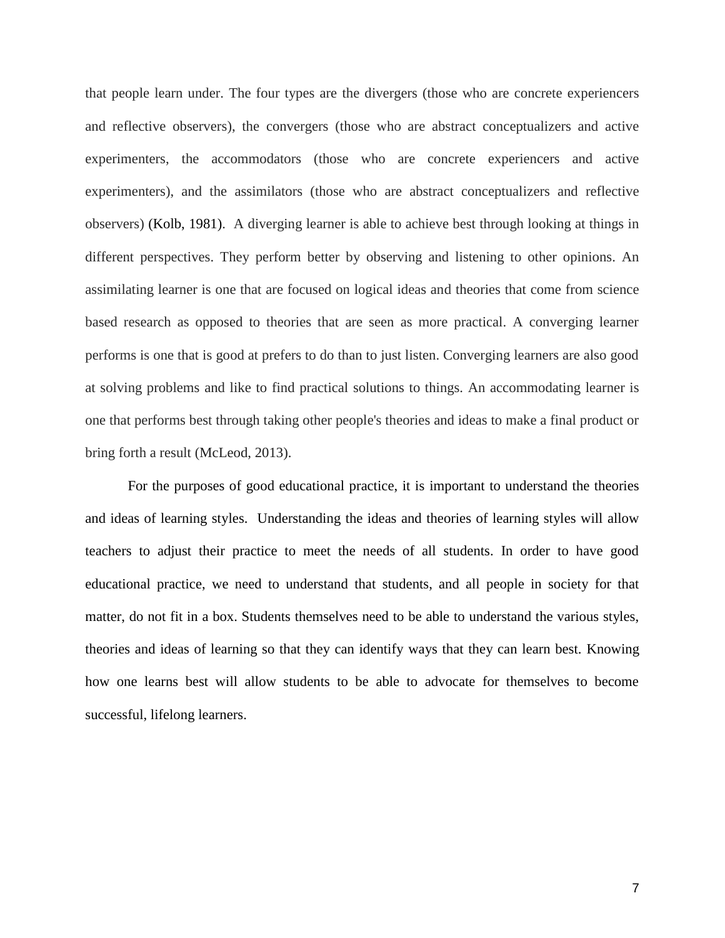that people learn under. The four types are the divergers (those who are concrete experiencers and reflective observers), the convergers (those who are abstract conceptualizers and active experimenters, the accommodators (those who are concrete experiencers and active experimenters), and the assimilators (those who are abstract conceptualizers and reflective observers) (Kolb, 1981). A diverging learner is able to achieve best through looking at things in different perspectives. They perform better by observing and listening to other opinions. An assimilating learner is one that are focused on logical ideas and theories that come from science based research as opposed to theories that are seen as more practical. A converging learner performs is one that is good at prefers to do than to just listen. Converging learners are also good at solving problems and like to find practical solutions to things. An accommodating learner is one that performs best through taking other people's theories and ideas to make a final product or bring forth a result (McLeod, 2013).

For the purposes of good educational practice, it is important to understand the theories and ideas of learning styles. Understanding the ideas and theories of learning styles will allow teachers to adjust their practice to meet the needs of all students. In order to have good educational practice, we need to understand that students, and all people in society for that matter, do not fit in a box. Students themselves need to be able to understand the various styles, theories and ideas of learning so that they can identify ways that they can learn best. Knowing how one learns best will allow students to be able to advocate for themselves to become successful, lifelong learners.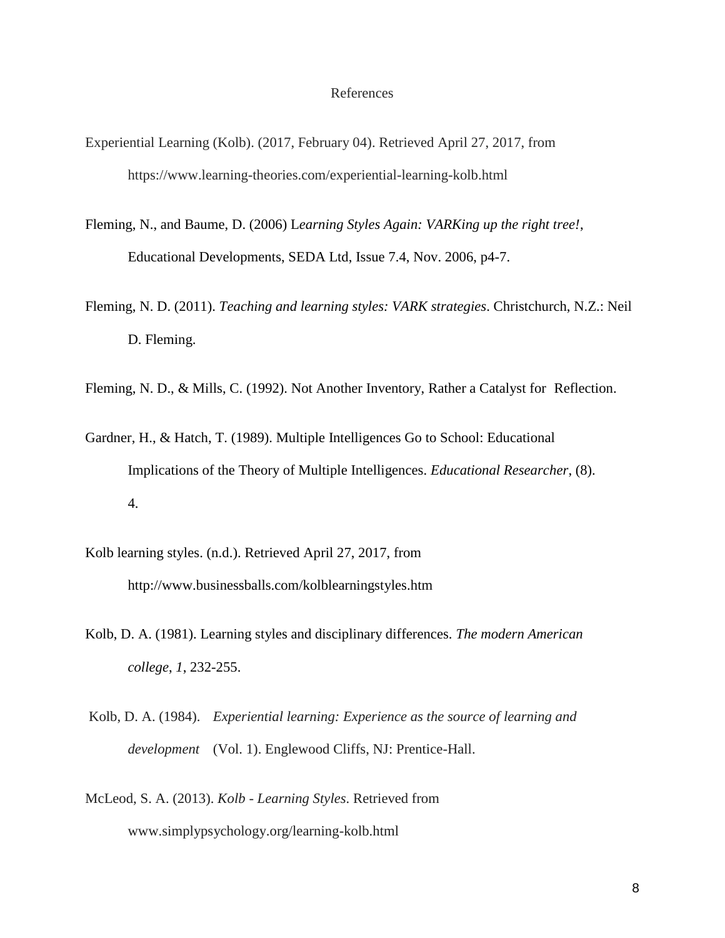#### References

- Experiential Learning (Kolb). (2017, February 04). Retrieved April 27, 2017, from https://www.learning-theories.com/experiential-learning-kolb.html
- Fleming, N., and Baume, D. (2006) L*earning Styles Again: VARKing up the right tree!*, Educational Developments, SEDA Ltd, Issue 7.4, Nov. 2006, p4-7.
- Fleming, N. D. (2011). *Teaching and learning styles: VARK strategies*. Christchurch, N.Z.: Neil D. Fleming.
- Fleming, N. D., & Mills, C. (1992). Not Another Inventory, Rather a Catalyst for Reflection.
- Gardner, H., & Hatch, T. (1989). Multiple Intelligences Go to School: Educational Implications of the Theory of Multiple Intelligences. *Educational Researcher*, (8). 4.
- Kolb learning styles. (n.d.). Retrieved April 27, 2017, from http://www.businessballs.com/kolblearningstyles.htm
- Kolb, D. A. (1981). Learning styles and disciplinary differences. *The modern American college*, *1*, 232-255.
- Kolb, D. A. (1984). *Experiential learning: Experience as the source of learning and development* (Vol. 1). Englewood Cliffs, NJ: Prentice-Hall.
- McLeod, S. A. (2013). *Kolb - Learning Styles*. Retrieved from www.simplypsychology.org/learning-kolb.html